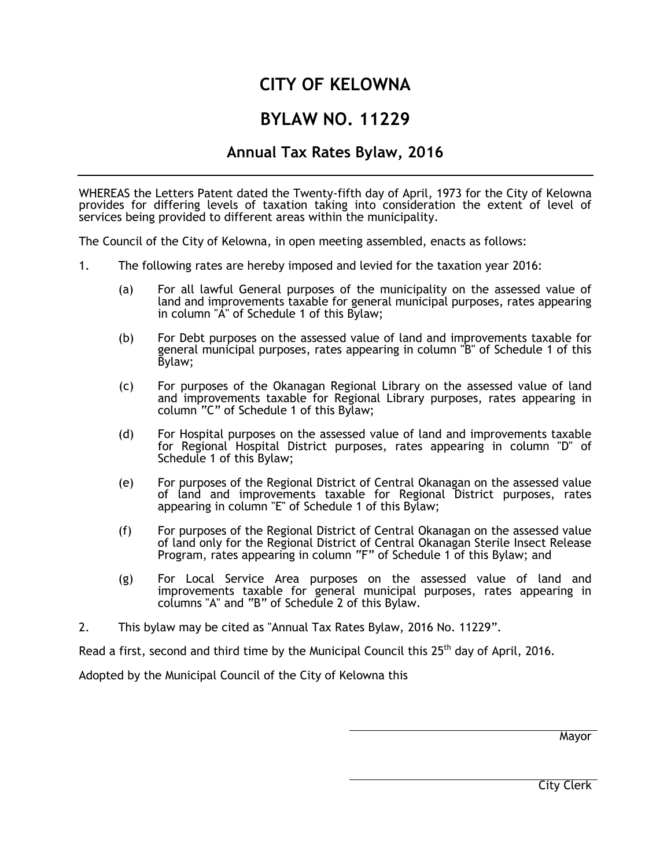# **CITY OF KELOWNA**

## **BYLAW NO. 11229**

## **Annual Tax Rates Bylaw, 2016**

WHEREAS the Letters Patent dated the Twenty-fifth day of April, 1973 for the City of Kelowna provides for differing levels of taxation taking into consideration the extent of level of services being provided to different areas within the municipality.

The Council of the City of Kelowna, in open meeting assembled, enacts as follows:

- 1. The following rates are hereby imposed and levied for the taxation year 2016:
	- (a) For all lawful General purposes of the municipality on the assessed value of land and improvements taxable for general municipal purposes, rates appearing in column "A" of Schedule 1 of this Bylaw;
	- (b) For Debt purposes on the assessed value of land and improvements taxable for general municipal purposes, rates appearing in column "B" of Schedule 1 of this Bylaw;
	- (c) For purposes of the Okanagan Regional Library on the assessed value of land and improvements taxable for Regional Library purposes, rates appearing in column "C" of Schedule 1 of this Bylaw;
	- (d) For Hospital purposes on the assessed value of land and improvements taxable for Regional Hospital District purposes, rates appearing in column "D" of Schedule 1 of this Bylaw;
	- (e) For purposes of the Regional District of Central Okanagan on the assessed value of land and improvements taxable for Regional District purposes, rates appearing in column "E" of Schedule 1 of this Bylaw;
	- (f) For purposes of the Regional District of Central Okanagan on the assessed value of land only for the Regional District of Central Okanagan Sterile Insect Release Program, rates appearing in column "F" of Schedule 1 of this Bylaw; and
	- (g) For Local Service Area purposes on the assessed value of land and improvements taxable for general municipal purposes, rates appearing in columns "A" and "B" of Schedule 2 of this Bylaw.
- 2. This bylaw may be cited as "Annual Tax Rates Bylaw, 2016 No. 11229".

Read a first, second and third time by the Municipal Council this  $25<sup>th</sup>$  day of April, 2016.

Adopted by the Municipal Council of the City of Kelowna this

Mayor

City Clerk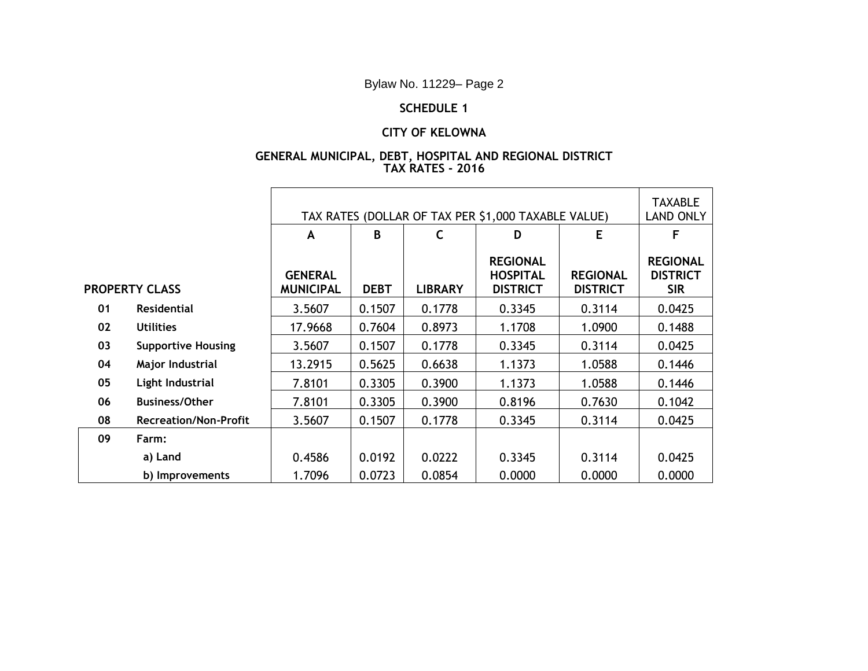Bylaw No. 11229– Page 2

### **SCHEDULE 1**

### **CITY OF KELOWNA**

#### **GENERAL MUNICIPAL, DEBT, HOSPITAL AND REGIONAL DISTRICT TAX RATES - 2016**

|                       |                              | TAX RATES (DOLLAR OF TAX PER \$1,000 TAXABLE VALUE) |             |                |                                                       |                                    | <b>TAXABLE</b><br><b>LAND ONLY</b>               |
|-----------------------|------------------------------|-----------------------------------------------------|-------------|----------------|-------------------------------------------------------|------------------------------------|--------------------------------------------------|
|                       |                              | A                                                   | B           | $\mathsf{C}$   | D                                                     | E                                  | F                                                |
| <b>PROPERTY CLASS</b> |                              | <b>GENERAL</b><br><b>MUNICIPAL</b>                  | <b>DEBT</b> | <b>LIBRARY</b> | <b>REGIONAL</b><br><b>HOSPITAL</b><br><b>DISTRICT</b> | <b>REGIONAL</b><br><b>DISTRICT</b> | <b>REGIONAL</b><br><b>DISTRICT</b><br><b>SIR</b> |
| 01                    | <b>Residential</b>           | 3.5607                                              | 0.1507      | 0.1778         | 0.3345                                                | 0.3114                             | 0.0425                                           |
| 02                    | <b>Utilities</b>             | 17.9668                                             | 0.7604      | 0.8973         | 1.1708                                                | 1.0900                             | 0.1488                                           |
| 03                    | <b>Supportive Housing</b>    | 3.5607                                              | 0.1507      | 0.1778         | 0.3345                                                | 0.3114                             | 0.0425                                           |
| 04                    | Major Industrial             | 13.2915                                             | 0.5625      | 0.6638         | 1.1373                                                | 1.0588                             | 0.1446                                           |
| 05                    | Light Industrial             | 7.8101                                              | 0.3305      | 0.3900         | 1.1373                                                | 1.0588                             | 0.1446                                           |
| 06                    | <b>Business/Other</b>        | 7.8101                                              | 0.3305      | 0.3900         | 0.8196                                                | 0.7630                             | 0.1042                                           |
| 08                    | <b>Recreation/Non-Profit</b> | 3.5607                                              | 0.1507      | 0.1778         | 0.3345                                                | 0.3114                             | 0.0425                                           |
| 09                    | Farm:                        |                                                     |             |                |                                                       |                                    |                                                  |
|                       | a) Land                      | 0.4586                                              | 0.0192      | 0.0222         | 0.3345                                                | 0.3114                             | 0.0425                                           |
|                       | b) Improvements              | 1.7096                                              | 0.0723      | 0.0854         | 0.0000                                                | 0.0000                             | 0.0000                                           |